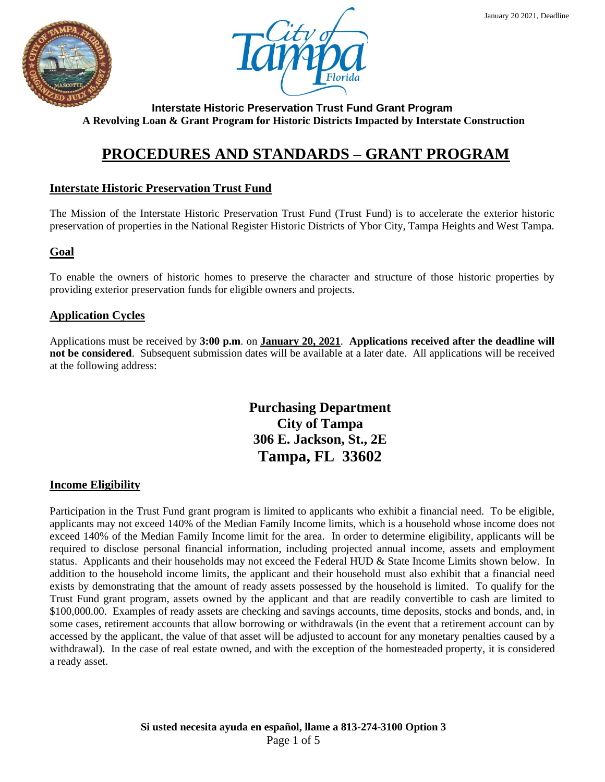



# **PROCEDURES AND STANDARDS – GRANT PROGRAM**

# **Interstate Historic Preservation Trust Fund**

The Mission of the Interstate Historic Preservation Trust Fund (Trust Fund) is to accelerate the exterior historic preservation of properties in the National Register Historic Districts of Ybor City, Tampa Heights and West Tampa.

## **Goal**

To enable the owners of historic homes to preserve the character and structure of those historic properties by providing exterior preservation funds for eligible owners and projects.

## **Application Cycles**

Applications must be received by **3:00 p.m**. on **January 20, 2021**. **Applications received after the deadline will not be considered**. Subsequent submission dates will be available at a later date. All applications will be received at the following address:

> **Purchasing Department City of Tampa 306 E. Jackson, St., 2E Tampa, FL 33602**

## **Income Eligibility**

Participation in the Trust Fund grant program is limited to applicants who exhibit a financial need. To be eligible, applicants may not exceed 140% of the Median Family Income limits, which is a household whose income does not exceed 140% of the Median Family Income limit for the area. In order to determine eligibility, applicants will be required to disclose personal financial information, including projected annual income, assets and employment status. Applicants and their households may not exceed the Federal HUD & State Income Limits shown below. In addition to the household income limits, the applicant and their household must also exhibit that a financial need exists by demonstrating that the amount of ready assets possessed by the household is limited. To qualify for the Trust Fund grant program, assets owned by the applicant and that are readily convertible to cash are limited to \$100,000.00. Examples of ready assets are checking and savings accounts, time deposits, stocks and bonds, and, in some cases, retirement accounts that allow borrowing or withdrawals (in the event that a retirement account can by accessed by the applicant, the value of that asset will be adjusted to account for any monetary penalties caused by a withdrawal). In the case of real estate owned, and with the exception of the homesteaded property, it is considered a ready asset.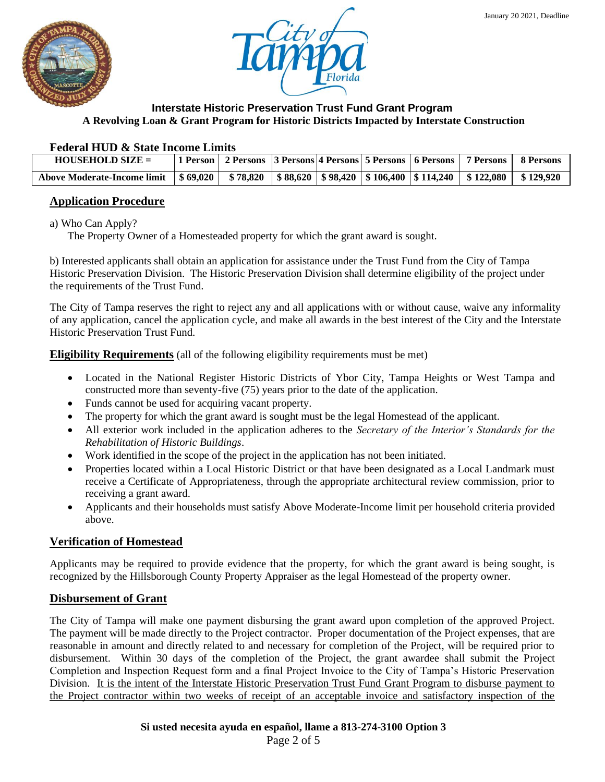



#### **Federal HUD & State Income Limits**

| $HOUSEHOLD SIZE =$                                                                                                              |  |  |  | 1 Person   2 Persons   3 Persons   4 Persons   5 Persons   6 Persons   7 Persons   8 Persons |  |
|---------------------------------------------------------------------------------------------------------------------------------|--|--|--|----------------------------------------------------------------------------------------------|--|
| Above Moderate-Income limit   \$ 69,020   \$ 78,820   \$ 88,620   \$ 98,420   \$ 106,400   \$ 114,240   \$ 122,080   \$ 129,920 |  |  |  |                                                                                              |  |

## **Application Procedure**

a) Who Can Apply?

The Property Owner of a Homesteaded property for which the grant award is sought.

b) Interested applicants shall obtain an application for assistance under the Trust Fund from the City of Tampa Historic Preservation Division. The Historic Preservation Division shall determine eligibility of the project under the requirements of the Trust Fund.

The City of Tampa reserves the right to reject any and all applications with or without cause, waive any informality of any application, cancel the application cycle, and make all awards in the best interest of the City and the Interstate Historic Preservation Trust Fund.

**Eligibility Requirements** (all of the following eligibility requirements must be met)

- Located in the National Register Historic Districts of Ybor City, Tampa Heights or West Tampa and constructed more than seventy-five (75) years prior to the date of the application.
- Funds cannot be used for acquiring vacant property.
- The property for which the grant award is sought must be the legal Homestead of the applicant.
- All exterior work included in the application adheres to the *Secretary of the Interior's Standards for the Rehabilitation of Historic Buildings*.
- Work identified in the scope of the project in the application has not been initiated.
- Properties located within a Local Historic District or that have been designated as a Local Landmark must receive a Certificate of Appropriateness, through the appropriate architectural review commission, prior to receiving a grant award.
- Applicants and their households must satisfy Above Moderate-Income limit per household criteria provided above.

## **Verification of Homestead**

Applicants may be required to provide evidence that the property, for which the grant award is being sought, is recognized by the Hillsborough County Property Appraiser as the legal Homestead of the property owner.

## **Disbursement of Grant**

The City of Tampa will make one payment disbursing the grant award upon completion of the approved Project. The payment will be made directly to the Project contractor. Proper documentation of the Project expenses, that are reasonable in amount and directly related to and necessary for completion of the Project, will be required prior to disbursement. Within 30 days of the completion of the Project, the grant awardee shall submit the Project Completion and Inspection Request form and a final Project Invoice to the City of Tampa's Historic Preservation Division. It is the intent of the Interstate Historic Preservation Trust Fund Grant Program to disburse payment to the Project contractor within two weeks of receipt of an acceptable invoice and satisfactory inspection of the

**Si usted necesita ayuda en español, llame a 813-274-3100 Option 3**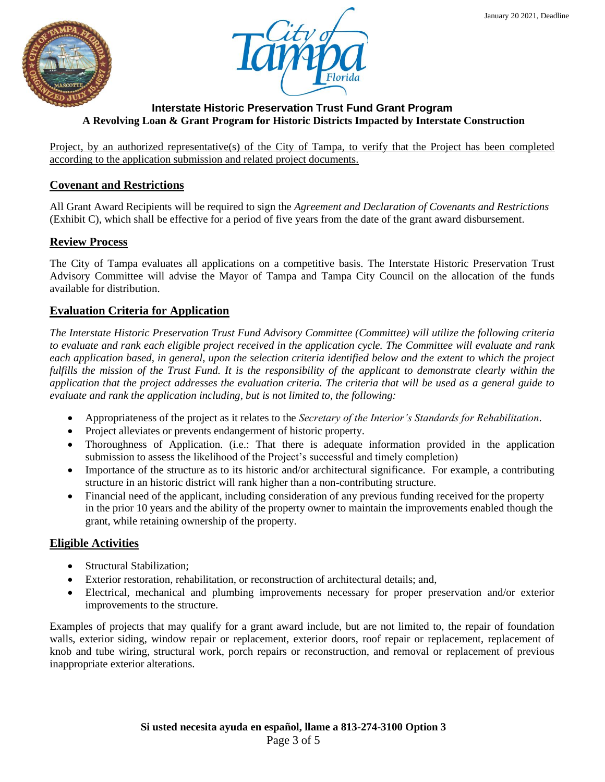



Project, by an authorized representative(s) of the City of Tampa, to verify that the Project has been completed according to the application submission and related project documents.

# **Covenant and Restrictions**

All Grant Award Recipients will be required to sign the *Agreement and Declaration of Covenants and Restrictions* (Exhibit C), which shall be effective for a period of five years from the date of the grant award disbursement.

## **Review Process**

The City of Tampa evaluates all applications on a competitive basis. The Interstate Historic Preservation Trust Advisory Committee will advise the Mayor of Tampa and Tampa City Council on the allocation of the funds available for distribution.

## **Evaluation Criteria for Application**

*The Interstate Historic Preservation Trust Fund Advisory Committee (Committee) will utilize the following criteria to evaluate and rank each eligible project received in the application cycle. The Committee will evaluate and rank each application based, in general, upon the selection criteria identified below and the extent to which the project fulfills the mission of the Trust Fund. It is the responsibility of the applicant to demonstrate clearly within the application that the project addresses the evaluation criteria. The criteria that will be used as a general guide to evaluate and rank the application including, but is not limited to, the following:* 

- Appropriateness of the project as it relates to the *Secretary of the Interior's Standards for Rehabilitation*.
- Project alleviates or prevents endangerment of historic property.
- Thoroughness of Application. (i.e.: That there is adequate information provided in the application submission to assess the likelihood of the Project's successful and timely completion)
- Importance of the structure as to its historic and/or architectural significance. For example, a contributing structure in an historic district will rank higher than a non-contributing structure.
- Financial need of the applicant, including consideration of any previous funding received for the property in the prior 10 years and the ability of the property owner to maintain the improvements enabled though the grant, while retaining ownership of the property.

## **Eligible Activities**

- Structural Stabilization;
- Exterior restoration, rehabilitation, or reconstruction of architectural details; and,
- Electrical, mechanical and plumbing improvements necessary for proper preservation and/or exterior improvements to the structure.

Examples of projects that may qualify for a grant award include, but are not limited to, the repair of foundation walls, exterior siding, window repair or replacement, exterior doors, roof repair or replacement, replacement of knob and tube wiring, structural work, porch repairs or reconstruction, and removal or replacement of previous inappropriate exterior alterations.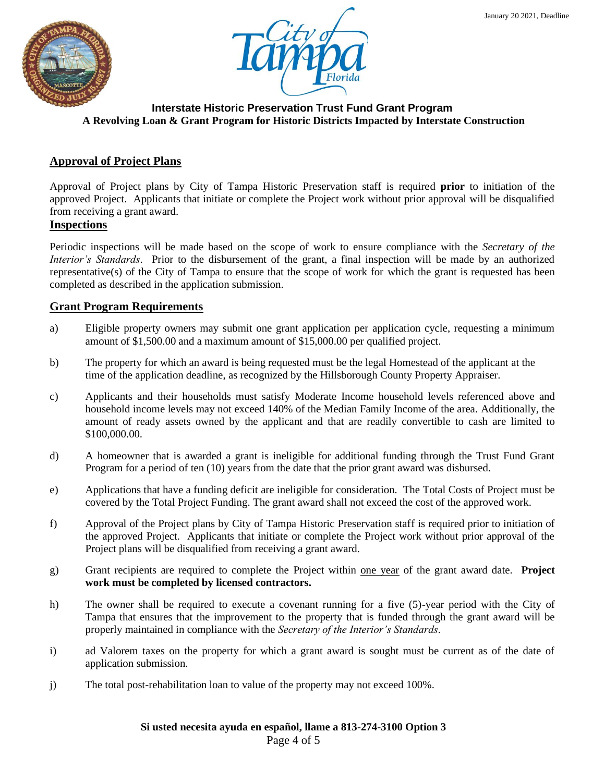



# **Approval of Project Plans**

Approval of Project plans by City of Tampa Historic Preservation staff is required **prior** to initiation of the approved Project. Applicants that initiate or complete the Project work without prior approval will be disqualified from receiving a grant award.

#### **Inspections**

Periodic inspections will be made based on the scope of work to ensure compliance with the *Secretary of the Interior's Standards*. Prior to the disbursement of the grant, a final inspection will be made by an authorized representative(s) of the City of Tampa to ensure that the scope of work for which the grant is requested has been completed as described in the application submission.

#### **Grant Program Requirements**

- a) Eligible property owners may submit one grant application per application cycle, requesting a minimum amount of \$1,500.00 and a maximum amount of \$15,000.00 per qualified project.
- b) The property for which an award is being requested must be the legal Homestead of the applicant at the time of the application deadline, as recognized by the Hillsborough County Property Appraiser.
- c) Applicants and their households must satisfy Moderate Income household levels referenced above and household income levels may not exceed 140% of the Median Family Income of the area. Additionally, the amount of ready assets owned by the applicant and that are readily convertible to cash are limited to \$100,000.00.
- d) A homeowner that is awarded a grant is ineligible for additional funding through the Trust Fund Grant Program for a period of ten (10) years from the date that the prior grant award was disbursed.
- e) Applications that have a funding deficit are ineligible for consideration. The Total Costs of Project must be covered by the Total Project Funding. The grant award shall not exceed the cost of the approved work.
- f) Approval of the Project plans by City of Tampa Historic Preservation staff is required prior to initiation of the approved Project. Applicants that initiate or complete the Project work without prior approval of the Project plans will be disqualified from receiving a grant award.
- g) Grant recipients are required to complete the Project within one year of the grant award date. **Project work must be completed by licensed contractors.**
- h) The owner shall be required to execute a covenant running for a five (5)-year period with the City of Tampa that ensures that the improvement to the property that is funded through the grant award will be properly maintained in compliance with the *Secretary of the Interior's Standards*.
- i) ad Valorem taxes on the property for which a grant award is sought must be current as of the date of application submission.
- j) The total post-rehabilitation loan to value of the property may not exceed 100%.